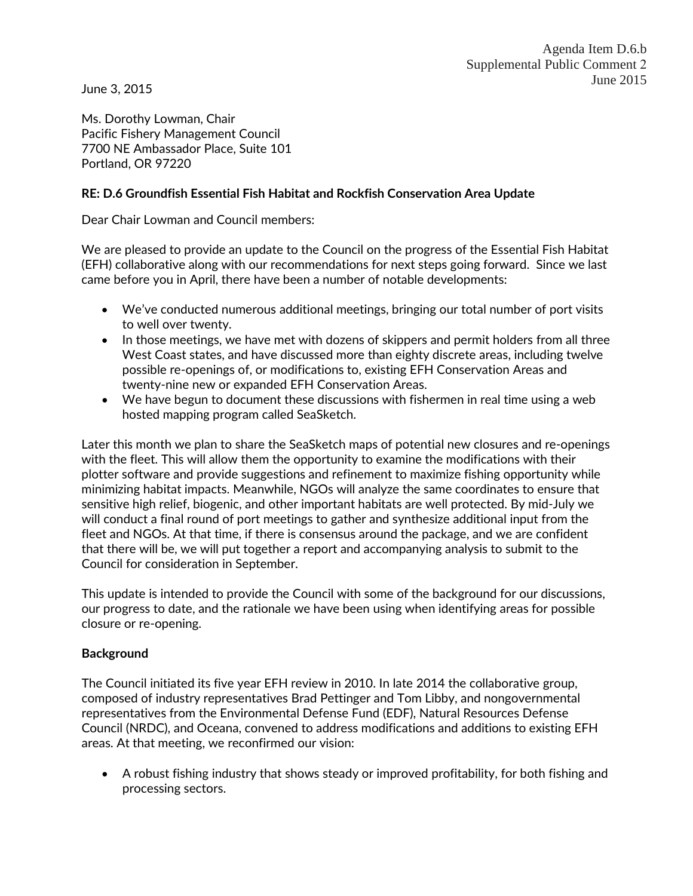June 3, 2015

Ms. Dorothy Lowman, Chair Pacific Fishery Management Council 7700 NE Ambassador Place, Suite 101 Portland, OR 97220

### **RE: D.6 Groundfish Essential Fish Habitat and Rockfish Conservation Area Update**

Dear Chair Lowman and Council members:

We are pleased to provide an update to the Council on the progress of the Essential Fish Habitat (EFH) collaborative along with our recommendations for next steps going forward. Since we last came before you in April, there have been a number of notable developments:

- We've conducted numerous additional meetings, bringing our total number of port visits to well over twenty.
- In those meetings, we have met with dozens of skippers and permit holders from all three West Coast states, and have discussed more than eighty discrete areas, including twelve possible re-openings of, or modifications to, existing EFH Conservation Areas and twenty-nine new or expanded EFH Conservation Areas.
- We have begun to document these discussions with fishermen in real time using a web hosted mapping program called SeaSketch.

Later this month we plan to share the SeaSketch maps of potential new closures and re-openings with the fleet. This will allow them the opportunity to examine the modifications with their plotter software and provide suggestions and refinement to maximize fishing opportunity while minimizing habitat impacts. Meanwhile, NGOs will analyze the same coordinates to ensure that sensitive high relief, biogenic, and other important habitats are well protected. By mid-July we will conduct a final round of port meetings to gather and synthesize additional input from the fleet and NGOs. At that time, if there is consensus around the package, and we are confident that there will be, we will put together a report and accompanying analysis to submit to the Council for consideration in September.

This update is intended to provide the Council with some of the background for our discussions, our progress to date, and the rationale we have been using when identifying areas for possible closure or re-opening.

#### **Background**

The Council initiated its five year EFH review in 2010. In late 2014 the collaborative group, composed of industry representatives Brad Pettinger and Tom Libby, and nongovernmental representatives from the Environmental Defense Fund (EDF), Natural Resources Defense Council (NRDC), and Oceana, convened to address modifications and additions to existing EFH areas. At that meeting, we reconfirmed our vision:

• A robust fishing industry that shows steady or improved profitability, for both fishing and processing sectors.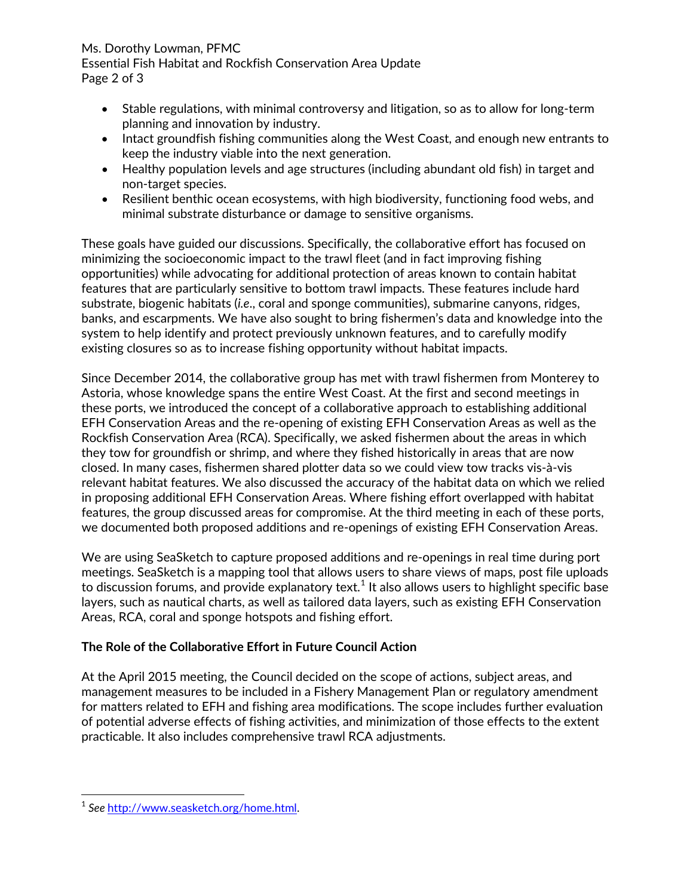#### Ms. Dorothy Lowman, PFMC Essential Fish Habitat and Rockfish Conservation Area Update Page 2 of 3

- Stable regulations, with minimal controversy and litigation, so as to allow for long-term planning and innovation by industry.
- Intact groundfish fishing communities along the West Coast, and enough new entrants to keep the industry viable into the next generation.
- Healthy population levels and age structures (including abundant old fish) in target and non-target species.
- Resilient benthic ocean ecosystems, with high biodiversity, functioning food webs, and minimal substrate disturbance or damage to sensitive organisms.

These goals have guided our discussions. Specifically, the collaborative effort has focused on minimizing the socioeconomic impact to the trawl fleet (and in fact improving fishing opportunities) while advocating for additional protection of areas known to contain habitat features that are particularly sensitive to bottom trawl impacts. These features include hard substrate, biogenic habitats (*i.e*., coral and sponge communities), submarine canyons, ridges, banks, and escarpments. We have also sought to bring fishermen's data and knowledge into the system to help identify and protect previously unknown features, and to carefully modify existing closures so as to increase fishing opportunity without habitat impacts.

Since December 2014, the collaborative group has met with trawl fishermen from Monterey to Astoria, whose knowledge spans the entire West Coast. At the first and second meetings in these ports, we introduced the concept of a collaborative approach to establishing additional EFH Conservation Areas and the re-opening of existing EFH Conservation Areas as well as the Rockfish Conservation Area (RCA). Specifically, we asked fishermen about the areas in which they tow for groundfish or shrimp, and where they fished historically in areas that are now closed. In many cases, fishermen shared plotter data so we could view tow tracks vis-à-vis relevant habitat features. We also discussed the accuracy of the habitat data on which we relied in proposing additional EFH Conservation Areas. Where fishing effort overlapped with habitat features, the group discussed areas for compromise. At the third meeting in each of these ports, we documented both proposed additions and re-openings of existing EFH Conservation Areas.

We are using SeaSketch to capture proposed additions and re-openings in real time during port meetings. SeaSketch is a mapping tool that allows users to share views of maps, post file uploads to discussion forums, and provide explanatory text. $^{\rm 1}$  $^{\rm 1}$  $^{\rm 1}$  It also allows users to highlight specific base layers, such as nautical charts, as well as tailored data layers, such as existing EFH Conservation Areas, RCA, coral and sponge hotspots and fishing effort.

# **The Role of the Collaborative Effort in Future Council Action**

At the April 2015 meeting, the Council decided on the scope of actions, subject areas, and management measures to be included in a Fishery Management Plan or regulatory amendment for matters related to EFH and fishing area modifications. The scope includes further evaluation of potential adverse effects of fishing activities, and minimization of those effects to the extent practicable. It also includes comprehensive trawl RCA adjustments.

<span id="page-1-0"></span><sup>1</sup> *See* [http://www.seasketch.org/home.html.](http://www.seasketch.org/home.html)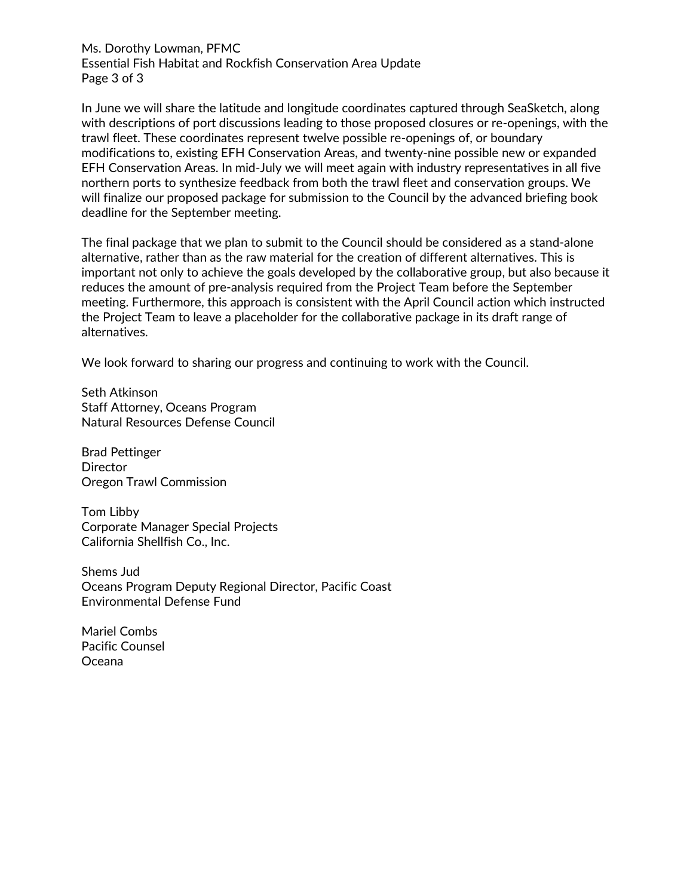Ms. Dorothy Lowman, PFMC Essential Fish Habitat and Rockfish Conservation Area Update Page 3 of 3

In June we will share the latitude and longitude coordinates captured through SeaSketch, along with descriptions of port discussions leading to those proposed closures or re-openings, with the trawl fleet. These coordinates represent twelve possible re-openings of, or boundary modifications to, existing EFH Conservation Areas, and twenty-nine possible new or expanded EFH Conservation Areas. In mid-July we will meet again with industry representatives in all five northern ports to synthesize feedback from both the trawl fleet and conservation groups. We will finalize our proposed package for submission to the Council by the advanced briefing book deadline for the September meeting.

The final package that we plan to submit to the Council should be considered as a stand-alone alternative, rather than as the raw material for the creation of different alternatives. This is important not only to achieve the goals developed by the collaborative group, but also because it reduces the amount of pre-analysis required from the Project Team before the September meeting. Furthermore, this approach is consistent with the April Council action which instructed the Project Team to leave a placeholder for the collaborative package in its draft range of alternatives.

We look forward to sharing our progress and continuing to work with the Council.

Seth Atkinson Staff Attorney, Oceans Program Natural Resources Defense Council

Brad Pettinger **Director** Oregon Trawl Commission

Tom Libby Corporate Manager Special Projects California Shellfish Co., Inc.

Shems Jud Oceans Program Deputy Regional Director, Pacific Coast Environmental Defense Fund

Mariel Combs Pacific Counsel Oceana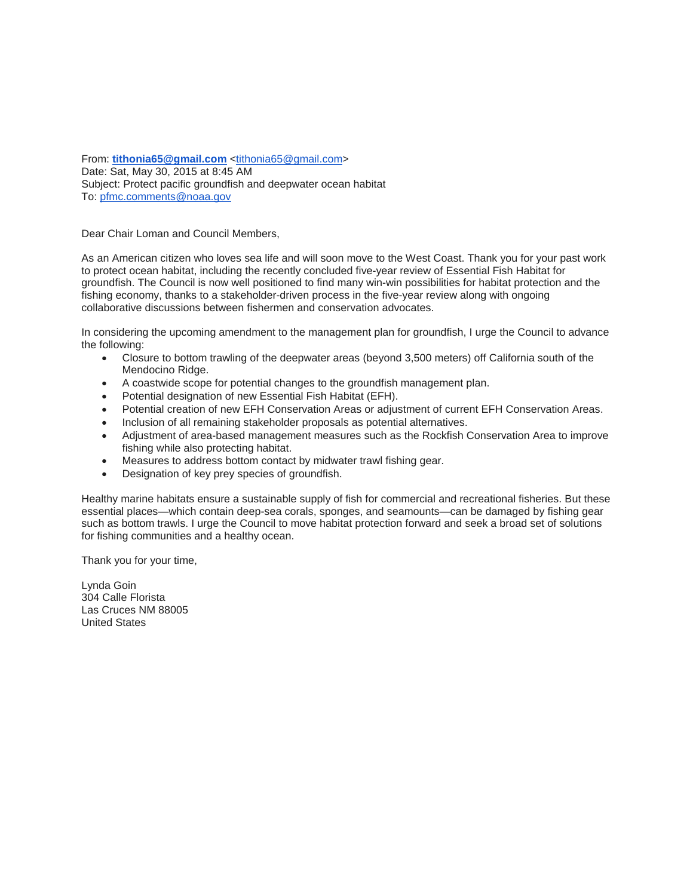From: **[tithonia65@gmail.com](mailto:tithonia65@gmail.com)** [<tithonia65@gmail.com>](mailto:tithonia65@gmail.com) Date: Sat, May 30, 2015 at 8:45 AM Subject: Protect pacific groundfish and deepwater ocean habitat To: [pfmc.comments@noaa.gov](mailto:pfmc.comments@noaa.gov)

Dear Chair Loman and Council Members,

As an American citizen who loves sea life and will soon move to the West Coast. Thank you for your past work to protect ocean habitat, including the recently concluded five-year review of Essential Fish Habitat for groundfish. The Council is now well positioned to find many win-win possibilities for habitat protection and the fishing economy, thanks to a stakeholder-driven process in the five-year review along with ongoing collaborative discussions between fishermen and conservation advocates.

In considering the upcoming amendment to the management plan for groundfish, I urge the Council to advance the following:

- Closure to bottom trawling of the deepwater areas (beyond 3,500 meters) off California south of the Mendocino Ridge.
- A coastwide scope for potential changes to the groundfish management plan.
- Potential designation of new Essential Fish Habitat (EFH).
- Potential creation of new EFH Conservation Areas or adjustment of current EFH Conservation Areas.
- Inclusion of all remaining stakeholder proposals as potential alternatives.
- Adjustment of area-based management measures such as the Rockfish Conservation Area to improve fishing while also protecting habitat.
- Measures to address bottom contact by midwater trawl fishing gear.
- Designation of key prey species of groundfish.

Healthy marine habitats ensure a sustainable supply of fish for commercial and recreational fisheries. But these essential places—which contain deep-sea corals, sponges, and seamounts—can be damaged by fishing gear such as bottom trawls. I urge the Council to move habitat protection forward and seek a broad set of solutions for fishing communities and a healthy ocean.

Thank you for your time,

Lynda Goin 304 Calle Florista Las Cruces NM 88005 United States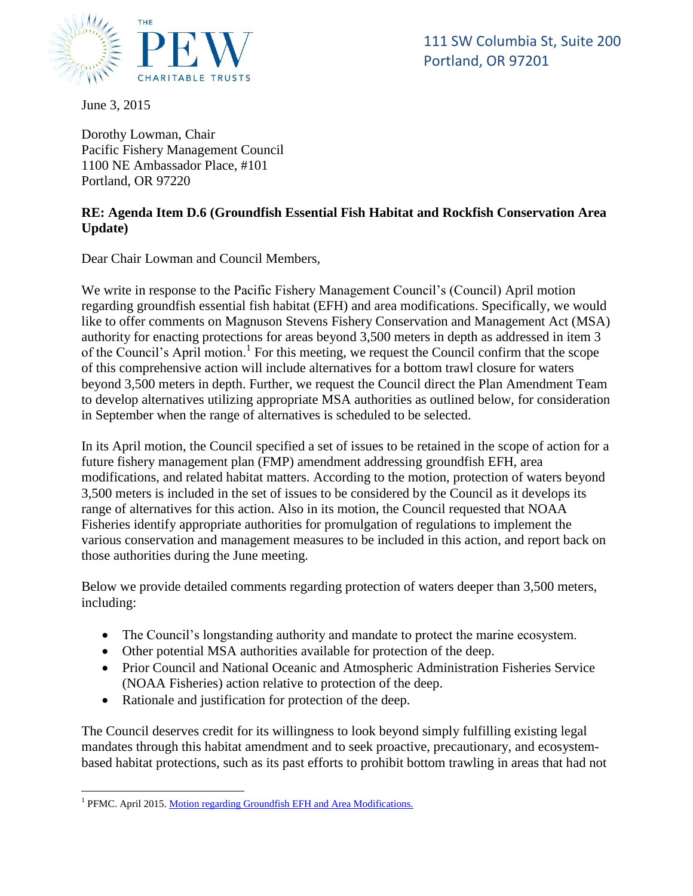

111 St. Columbia St., Sance Lot Portland, OR 97202 111 SW Columbia St, Suite 200

June 3, 2015

Dorothy Lowman, Chair Pacific Fishery Management Council 1100 NE Ambassador Place, #101 Portland, OR 97220

# **RE: Agenda Item D.6 (Groundfish Essential Fish Habitat and Rockfish Conservation Area Update)**

Dear Chair Lowman and Council Members,

We write in response to the Pacific Fishery Management Council's (Council) April motion regarding groundfish essential fish habitat (EFH) and area modifications. Specifically, we would like to offer comments on Magnuson Stevens Fishery Conservation and Management Act (MSA) authority for enacting protections for areas beyond 3,500 meters in depth as addressed in item 3 of the Council's April motion.<sup>1</sup> For this meeting, we request the Council confirm that the scope of this comprehensive action will include alternatives for a bottom trawl closure for waters beyond 3,500 meters in depth. Further, we request the Council direct the Plan Amendment Team to develop alternatives utilizing appropriate MSA authorities as outlined below, for consideration in September when the range of alternatives is scheduled to be selected.

In its April motion, the Council specified a set of issues to be retained in the scope of action for a future fishery management plan (FMP) amendment addressing groundfish EFH, area modifications, and related habitat matters. According to the motion, protection of waters beyond 3,500 meters is included in the set of issues to be considered by the Council as it develops its range of alternatives for this action. Also in its motion, the Council requested that NOAA Fisheries identify appropriate authorities for promulgation of regulations to implement the various conservation and management measures to be included in this action, and report back on those authorities during the June meeting.

Below we provide detailed comments regarding protection of waters deeper than 3,500 meters, including:

- The Council's longstanding authority and mandate to protect the marine ecosystem.
- Other potential MSA authorities available for protection of the deep.
- Prior Council and National Oceanic and Atmospheric Administration Fisheries Service (NOAA Fisheries) action relative to protection of the deep.
- Rationale and justification for protection of the deep.

The Council deserves credit for its willingness to look beyond simply fulfilling existing legal mandates through this habitat amendment and to seek proactive, precautionary, and ecosystembased habitat protections, such as its past efforts to prohibit bottom trawling in areas that had not

<sup>&</sup>lt;sup>1</sup> PFMC. April 2015[. Motion regarding Groundfish EFH and Area Modifications.](http://www.pcouncil.org/wp-content/uploads/2015/04/E5_CouncilAction_Apr2015.pdf)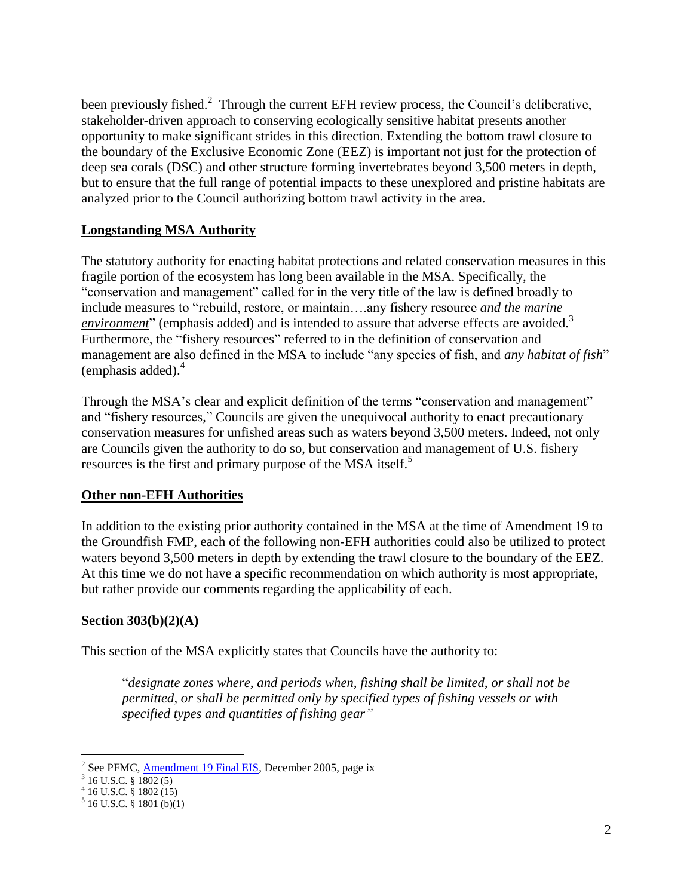been previously fished.<sup>2</sup> Through the current EFH review process, the Council's deliberative, stakeholder-driven approach to conserving ecologically sensitive habitat presents another opportunity to make significant strides in this direction. Extending the bottom trawl closure to the boundary of the Exclusive Economic Zone (EEZ) is important not just for the protection of deep sea corals (DSC) and other structure forming invertebrates beyond 3,500 meters in depth, but to ensure that the full range of potential impacts to these unexplored and pristine habitats are analyzed prior to the Council authorizing bottom trawl activity in the area.

# **Longstanding MSA Authority**

The statutory authority for enacting habitat protections and related conservation measures in this fragile portion of the ecosystem has long been available in the MSA. Specifically, the "conservation and management" called for in the very title of the law is defined broadly to include measures to "rebuild, restore, or maintain….any fishery resource *and the marine environment*" (emphasis added) and is intended to assure that adverse effects are avoided.<sup>3</sup> Furthermore, the "fishery resources" referred to in the definition of conservation and management are also defined in the MSA to include "any species of fish, and *any habitat of fish*" (emphasis added). $4$ 

Through the MSA's clear and explicit definition of the terms "conservation and management" and "fishery resources," Councils are given the unequivocal authority to enact precautionary conservation measures for unfished areas such as waters beyond 3,500 meters. Indeed, not only are Councils given the authority to do so, but conservation and management of U.S. fishery resources is the first and primary purpose of the MSA itself.<sup>5</sup>

# **Other non-EFH Authorities**

In addition to the existing prior authority contained in the MSA at the time of Amendment 19 to the Groundfish FMP, each of the following non-EFH authorities could also be utilized to protect waters beyond 3,500 meters in depth by extending the trawl closure to the boundary of the EEZ. At this time we do not have a specific recommendation on which authority is most appropriate, but rather provide our comments regarding the applicability of each.

# **Section 303(b)(2)(A)**

This section of the MSA explicitly states that Councils have the authority to:

"*designate zones where, and periods when, fishing shall be limited, or shall not be permitted, or shall be permitted only by specified types of fishing vessels or with specified types and quantities of fishing gear"*

 $\overline{a}$ <sup>2</sup> See PFMC, **Amendment 19 Final EIS**, December 2005, page ix

<sup>3</sup> 16 U.S.C. § 1802 (5) 4 16 U.S.C. § 1802 (15)

<sup>5</sup> 16 U.S.C. § 1801 (b)(1)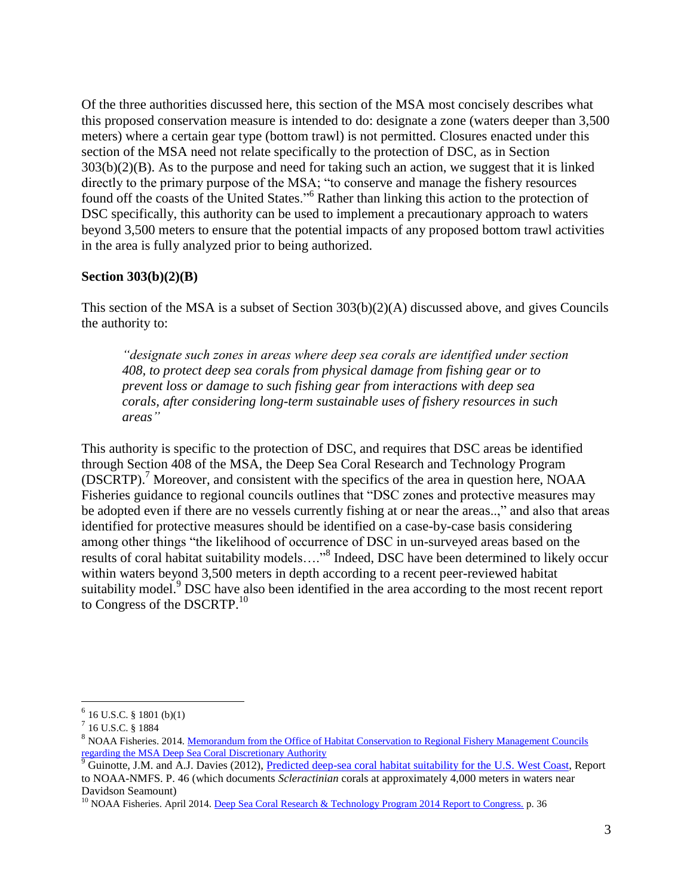Of the three authorities discussed here, this section of the MSA most concisely describes what this proposed conservation measure is intended to do: designate a zone (waters deeper than 3,500 meters) where a certain gear type (bottom trawl) is not permitted. Closures enacted under this section of the MSA need not relate specifically to the protection of DSC, as in Section 303(b)(2)(B). As to the purpose and need for taking such an action, we suggest that it is linked directly to the primary purpose of the MSA; "to conserve and manage the fishery resources found off the coasts of the United States."<sup>6</sup> Rather than linking this action to the protection of DSC specifically, this authority can be used to implement a precautionary approach to waters beyond 3,500 meters to ensure that the potential impacts of any proposed bottom trawl activities in the area is fully analyzed prior to being authorized.

#### **Section 303(b)(2)(B)**

This section of the MSA is a subset of Section  $303(b)(2)(A)$  discussed above, and gives Councils the authority to:

*"designate such zones in areas where deep sea corals are identified under section 408, to protect deep sea corals from physical damage from fishing gear or to prevent loss or damage to such fishing gear from interactions with deep sea corals, after considering long-term sustainable uses of fishery resources in such areas"*

This authority is specific to the protection of DSC, and requires that DSC areas be identified through Section 408 of the MSA, the Deep Sea Coral Research and Technology Program (DSCRTP). <sup>7</sup> Moreover, and consistent with the specifics of the area in question here, NOAA Fisheries guidance to regional councils outlines that "DSC zones and protective measures may be adopted even if there are no vessels currently fishing at or near the areas..," and also that areas identified for protective measures should be identified on a case-by-case basis considering among other things "the likelihood of occurrence of DSC in un-surveyed areas based on the results of coral habitat suitability models...."<sup>8</sup> Indeed, DSC have been determined to likely occur within waters beyond 3,500 meters in depth according to a recent peer-reviewed habitat suitability model.<sup>9</sup> DSC have also been identified in the area according to the most recent report to Congress of the DSCRTP.<sup>10</sup>

 $6$  16 U.S.C. § 1801 (b)(1)

<sup>7</sup> 16 U.S.C. § 1884

<sup>&</sup>lt;sup>8</sup> NOAA Fisheries. 2014. Memorandum from the Office of Habitat Conservation to Regional Fishery Management Councils [regarding the MSA Deep Sea Coral Discretionary Authority](http://www.npfmc.org/wp-content/PDFdocuments/CM/cm062014/DeepSeaCorals.pdf)

<sup>&</sup>lt;sup>9</sup> Guinotte, J.M. and A.J. Davies (2012), [Predicted deep-sea coral habitat suitability for the](http://www.marine-conservation.org/media/filer_public/2013/03/21/guinotte_davies_2012_small.pdf) U.S. West Coast, Report to NOAA-NMFS. P. 46 (which documents *Scleractinian* corals at approximately 4,000 meters in waters near Davidson Seamount)

<sup>&</sup>lt;sup>10</sup> NOAA Fisheries. April 2014. [Deep Sea Coral Research & Technology Program 2014 Report to Congress.](http://www.habitat.noaa.gov/pdf/FINAL_DSCRtC_4_17_2014_Interactive.pdf) p. 36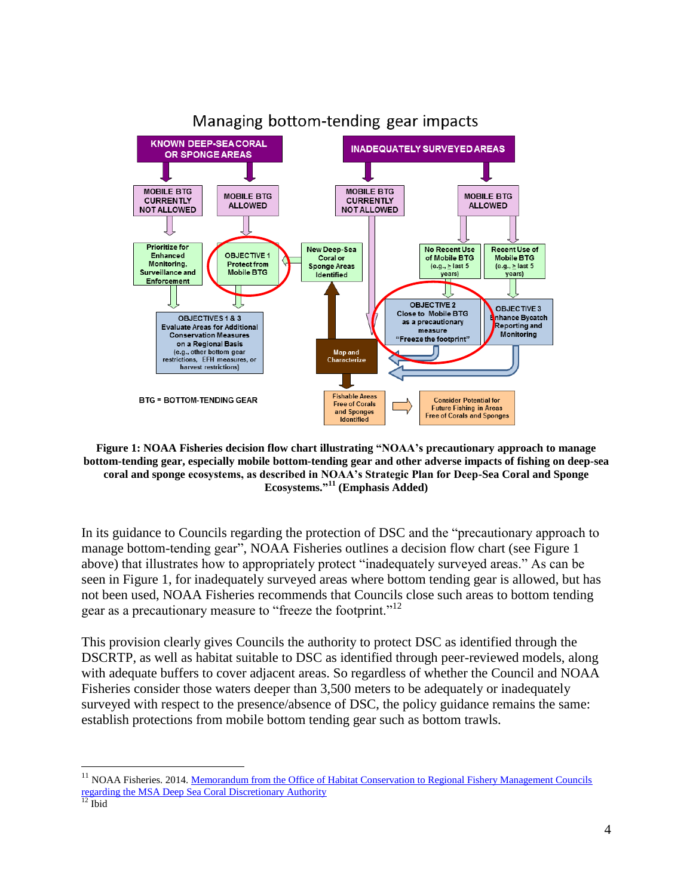

**Figure 1: NOAA Fisheries decision flow chart illustrating "NOAA's precautionary approach to manage bottom-tending gear, especially mobile bottom-tending gear and other adverse impacts of fishing on deep-sea coral and sponge ecosystems, as described in NOAA's Strategic Plan for Deep-Sea Coral and Sponge Ecosystems." <sup>11</sup> (Emphasis Added)**

In its guidance to Councils regarding the protection of DSC and the "precautionary approach to manage bottom-tending gear", NOAA Fisheries outlines a decision flow chart (see Figure 1 above) that illustrates how to appropriately protect "inadequately surveyed areas." As can be seen in Figure 1, for inadequately surveyed areas where bottom tending gear is allowed, but has not been used, NOAA Fisheries recommends that Councils close such areas to bottom tending gear as a precautionary measure to "freeze the footprint."<sup>12</sup>

This provision clearly gives Councils the authority to protect DSC as identified through the DSCRTP, as well as habitat suitable to DSC as identified through peer-reviewed models, along with adequate buffers to cover adjacent areas. So regardless of whether the Council and NOAA Fisheries consider those waters deeper than 3,500 meters to be adequately or inadequately surveyed with respect to the presence/absence of DSC, the policy guidance remains the same: establish protections from mobile bottom tending gear such as bottom trawls.

<sup>&</sup>lt;sup>11</sup> NOAA Fisheries. 2014. Memorandum from the Office of Habitat Conservation to Regional Fishery Management Councils [regarding the MSA Deep Sea Coral Discretionary Authority](http://www.npfmc.org/wp-content/PDFdocuments/CM/cm062014/DeepSeaCorals.pdf)

 $\frac{12}{12}$  Ibid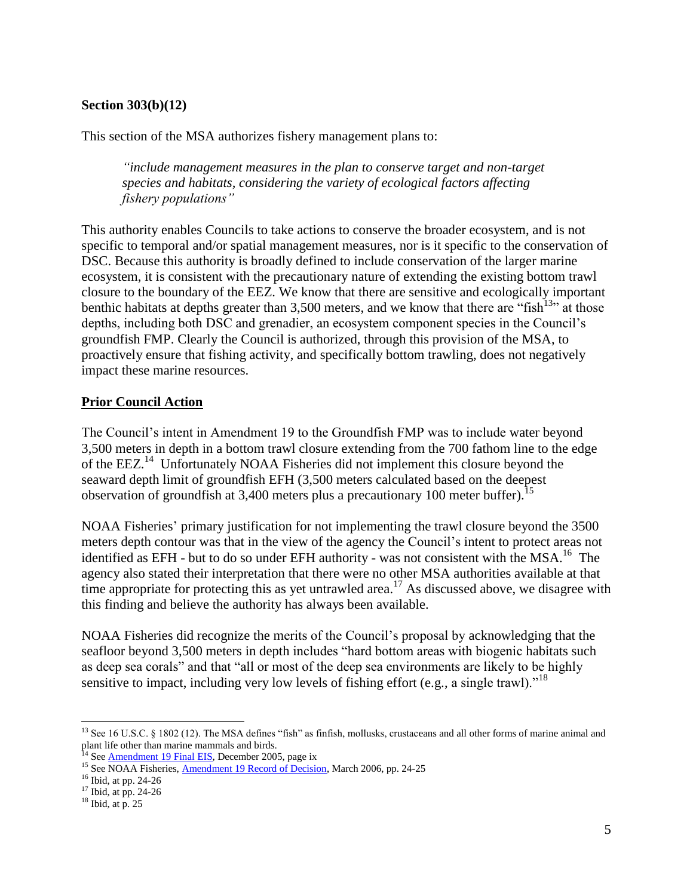### **Section 303(b)(12)**

This section of the MSA authorizes fishery management plans to:

*"include management measures in the plan to conserve target and non-target species and habitats, considering the variety of ecological factors affecting fishery populations"*

This authority enables Councils to take actions to conserve the broader ecosystem, and is not specific to temporal and/or spatial management measures, nor is it specific to the conservation of DSC. Because this authority is broadly defined to include conservation of the larger marine ecosystem, it is consistent with the precautionary nature of extending the existing bottom trawl closure to the boundary of the EEZ. We know that there are sensitive and ecologically important benthic habitats at depths greater than 3,500 meters, and we know that there are "fish<sup>13</sup>" at those depths, including both DSC and grenadier, an ecosystem component species in the Council's groundfish FMP. Clearly the Council is authorized, through this provision of the MSA, to proactively ensure that fishing activity, and specifically bottom trawling, does not negatively impact these marine resources.

#### **Prior Council Action**

The Council's intent in Amendment 19 to the Groundfish FMP was to include water beyond 3,500 meters in depth in a bottom trawl closure extending from the 700 fathom line to the edge of the EEZ.<sup>14</sup> Unfortunately NOAA Fisheries did not implement this closure beyond the seaward depth limit of groundfish EFH (3,500 meters calculated based on the deepest observation of groundfish at 3,400 meters plus a precautionary 100 meter buffer).<sup>15</sup>

NOAA Fisheries' primary justification for not implementing the trawl closure beyond the 3500 meters depth contour was that in the view of the agency the Council's intent to protect areas not identified as EFH - but to do so under EFH authority - was not consistent with the MSA.<sup>16</sup> The agency also stated their interpretation that there were no other MSA authorities available at that time appropriate for protecting this as yet untrawled area.<sup>17</sup> As discussed above, we disagree with this finding and believe the authority has always been available.

NOAA Fisheries did recognize the merits of the Council's proposal by acknowledging that the seafloor beyond 3,500 meters in depth includes "hard bottom areas with biogenic habitats such as deep sea corals" and that "all or most of the deep sea environments are likely to be highly sensitive to impact, including very low levels of fishing effort (e.g., a single trawl). $18$ 

<sup>&</sup>lt;sup>13</sup> See 16 U.S.C. § 1802 (12). The MSA defines "fish" as finfish, mollusks, crustaceans and all other forms of marine animal and plant life other than marine mammals and birds.

<sup>&</sup>lt;sup>14</sup> See **Amendment 19 Final EIS**, December 2005, page ix

<sup>&</sup>lt;sup>15</sup> See NOAA Fisheries, **Amendment 19 Record of Decision**, March 2006, pp. 24-25

<sup>&</sup>lt;sup>16</sup> Ibid, at pp. 24-26

 $17$  Ibid, at pp. 24-26

 $18$  Ibid, at p. 25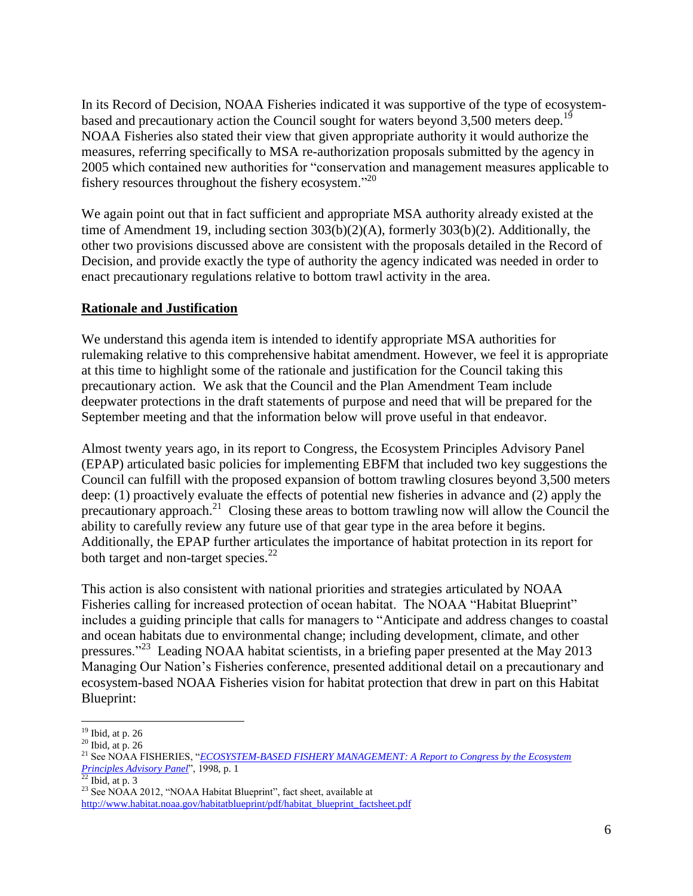In its Record of Decision, NOAA Fisheries indicated it was supportive of the type of ecosystembased and precautionary action the Council sought for waters beyond 3,500 meters deep.<sup>19</sup> NOAA Fisheries also stated their view that given appropriate authority it would authorize the measures, referring specifically to MSA re-authorization proposals submitted by the agency in 2005 which contained new authorities for "conservation and management measures applicable to fishery resources throughout the fishery ecosystem."<sup>20</sup>

We again point out that in fact sufficient and appropriate MSA authority already existed at the time of Amendment 19, including section 303(b)(2)(A), formerly 303(b)(2). Additionally, the other two provisions discussed above are consistent with the proposals detailed in the Record of Decision, and provide exactly the type of authority the agency indicated was needed in order to enact precautionary regulations relative to bottom trawl activity in the area.

### **Rationale and Justification**

We understand this agenda item is intended to identify appropriate MSA authorities for rulemaking relative to this comprehensive habitat amendment. However, we feel it is appropriate at this time to highlight some of the rationale and justification for the Council taking this precautionary action. We ask that the Council and the Plan Amendment Team include deepwater protections in the draft statements of purpose and need that will be prepared for the September meeting and that the information below will prove useful in that endeavor.

Almost twenty years ago, in its report to Congress, the Ecosystem Principles Advisory Panel (EPAP) articulated basic policies for implementing EBFM that included two key suggestions the Council can fulfill with the proposed expansion of bottom trawling closures beyond 3,500 meters deep: (1) proactively evaluate the effects of potential new fisheries in advance and (2) apply the precautionary approach.<sup>21</sup> Closing these areas to bottom trawling now will allow the Council the ability to carefully review any future use of that gear type in the area before it begins. Additionally, the EPAP further articulates the importance of habitat protection in its report for both target and non-target species. $^{22}$ 

This action is also consistent with national priorities and strategies articulated by NOAA Fisheries calling for increased protection of ocean habitat. The NOAA "Habitat Blueprint" includes a guiding principle that calls for managers to "Anticipate and address changes to coastal and ocean habitats due to environmental change; including development, climate, and other pressures."<sup>23</sup> Leading NOAA habitat scientists, in a briefing paper presented at the May 2013 Managing Our Nation's Fisheries conference, presented additional detail on a precautionary and ecosystem-based NOAA Fisheries vision for habitat protection that drew in part on this Habitat Blueprint:

 $\overline{a}$  $19$  Ibid, at p. 26

 $20$  Ibid, at p. 26

<sup>21</sup> See NOAA FISHERIES, "*[ECOSYSTEM-BASED FISHERY MANAGEMENT: A Report to Congress by the Ecosystem](http://www.nmfs.noaa.gov/sfa/EPAPrpt.pdf)  [Principles Advisory Panel](http://www.nmfs.noaa.gov/sfa/EPAPrpt.pdf)*", 1998, p. 1

 $^{22}$  Ibid, at p. 3

<sup>&</sup>lt;sup>23</sup> See NOAA 2012, "NOAA Habitat Blueprint", fact sheet, available at [http://www.habitat.noaa.gov/habitatblueprint/pdf/habitat\\_blueprint\\_factsheet.pdf](http://www.habitat.noaa.gov/habitatblueprint/pdf/habitat_blueprint_factsheet.pdf)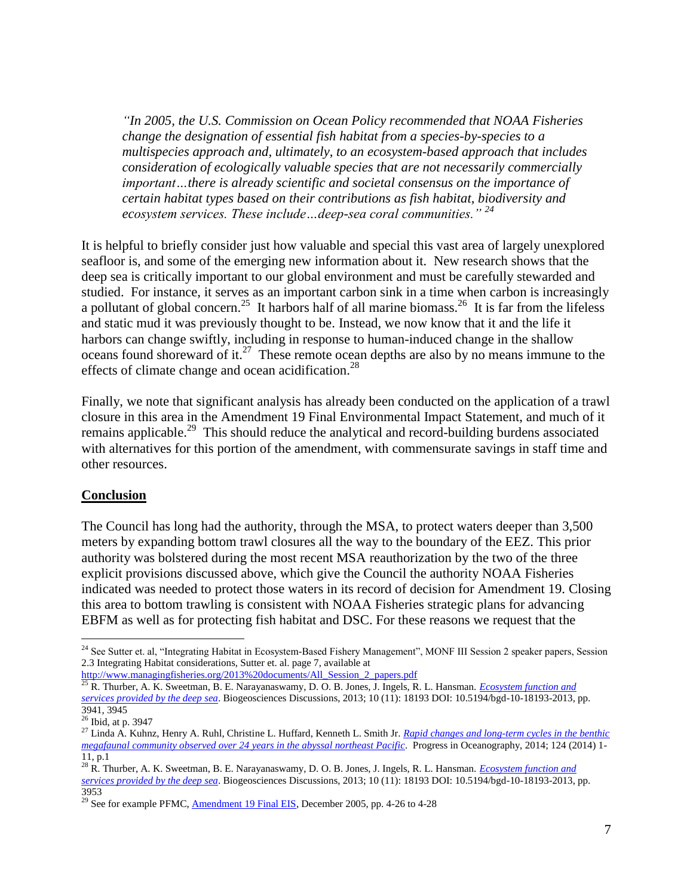*"In 2005, the U.S. Commission on Ocean Policy recommended that NOAA Fisheries change the designation of essential fish habitat from a species-by-species to a multispecies approach and, ultimately, to an ecosystem-based approach that includes consideration of ecologically valuable species that are not necessarily commercially important…there is already scientific and societal consensus on the importance of certain habitat types based on their contributions as fish habitat, biodiversity and ecosystem services. These include…deep-sea coral communities." <sup>24</sup>*

It is helpful to briefly consider just how valuable and special this vast area of largely unexplored seafloor is, and some of the emerging new information about it. New research shows that the deep sea is critically important to our global environment and must be carefully stewarded and studied. For instance, it serves as an important carbon sink in a time when carbon is increasingly a pollutant of global concern.<sup>25</sup> It harbors half of all marine biomass.<sup>26</sup> It is far from the lifeless and static mud it was previously thought to be. Instead, we now know that it and the life it harbors can change swiftly, including in response to human-induced change in the shallow oceans found shoreward of it. $27$  These remote ocean depths are also by no means immune to the effects of climate change and ocean acidification.<sup>28</sup>

Finally, we note that significant analysis has already been conducted on the application of a trawl closure in this area in the Amendment 19 Final Environmental Impact Statement, and much of it remains applicable.<sup>29</sup> This should reduce the analytical and record-building burdens associated with alternatives for this portion of the amendment, with commensurate savings in staff time and other resources.

#### **Conclusion**

The Council has long had the authority, through the MSA, to protect waters deeper than 3,500 meters by expanding bottom trawl closures all the way to the boundary of the EEZ. This prior authority was bolstered during the most recent MSA reauthorization by the two of the three explicit provisions discussed above, which give the Council the authority NOAA Fisheries indicated was needed to protect those waters in its record of decision for Amendment 19. Closing this area to bottom trawling is consistent with NOAA Fisheries strategic plans for advancing EBFM as well as for protecting fish habitat and DSC. For these reasons we request that the

[http://www.managingfisheries.org/2013%20documents/All\\_Session\\_2\\_papers.pdf](http://www.managingfisheries.org/2013%20documents/All_Session_2_papers.pdf)

<sup>&</sup>lt;sup>24</sup> See Sutter et. al, "Integrating Habitat in Ecosystem-Based Fishery Management", MONF III Session 2 speaker papers, Session 2.3 Integrating Habitat considerations, Sutter et. al. page 7, available at

<sup>&</sup>lt;sup>25</sup> R. Thurber, A. K. Sweetman, B. E. Narayanaswamy, D. O. B. Jones, J. Ingels, R. L. Hansman. *Ecosystem function and [services provided by the deep sea](http://www.biogeosciences.net/11/3941/2014/bg-11-3941-2014.pdf)*. Biogeosciences Discussions, 2013; 10 (11): 18193 DOI: 10.5194/bgd-10-18193-2013, pp. 3941, 3945

<sup>26</sup> Ibid, at p. 3947

<sup>27</sup> Linda A. Kuhnz, Henry A. Ruhl, Christine L. Huffard, Kenneth L. Smith Jr. *[Rapid changes and long-term cycles in the benthic](http://www.mbari.org/staff/linda/Kuhnz%20et%20al%202014.pdf)  [megafaunal community observed over 24 years in the abyssal northeast Pacific.](http://www.mbari.org/staff/linda/Kuhnz%20et%20al%202014.pdf)* Progress in Oceanography, 2014; 124 (2014) 1-11, p.1

<sup>28</sup> R. Thurber, A. K. Sweetman, B. E. Narayanaswamy, D. O. B. Jones, J. Ingels, R. L. Hansman. *[Ecosystem function and](http://www.biogeosciences.net/11/3941/2014/bg-11-3941-2014.pdf)  [services provided by the deep sea](http://www.biogeosciences.net/11/3941/2014/bg-11-3941-2014.pdf)*. Biogeosciences Discussions, 2013; 10 (11): 18193 DOI: 10.5194/bgd-10-18193-2013, pp. 3953

<sup>&</sup>lt;sup>29</sup> See for example PFMC,  $\Delta$ mendment 19 Final EIS, December 2005, pp. 4-26 to 4-28